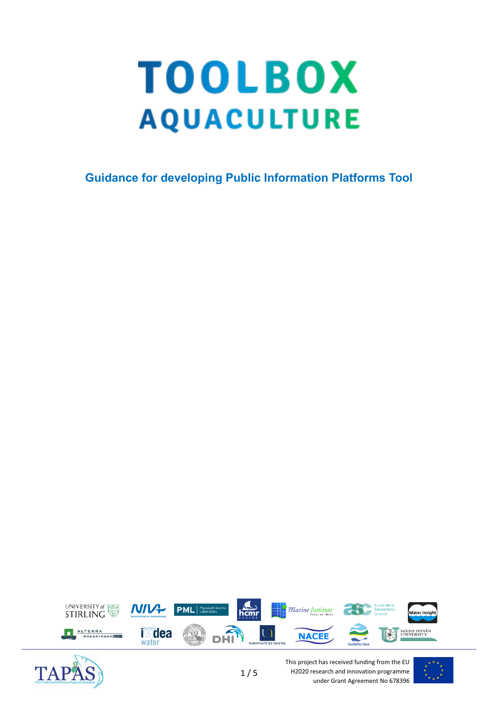# **TOOLBOX AQUACULTURE**

**Guidance for developing Public Information Platforms Tool**





This project has received funding from the EU H2020 research and innovation programme under Grant Agreement No 678396

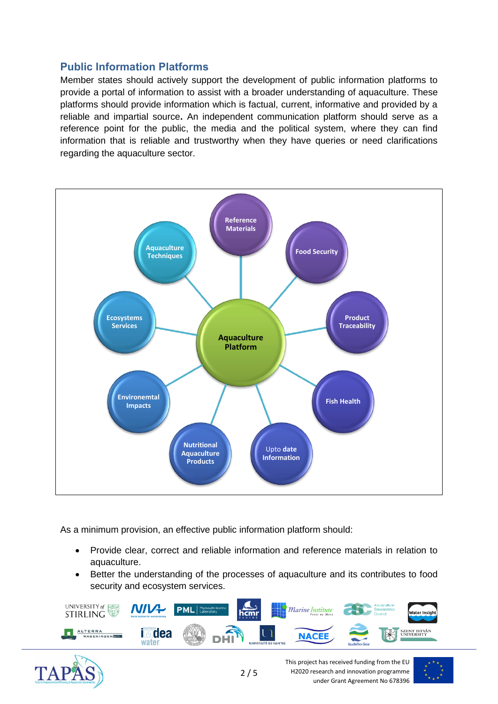## **Public Information Platforms**

Member states should actively support the development of public information platforms to provide a portal of information to assist with a broader understanding of aquaculture. These platforms should provide information which is factual, current, informative and provided by a reliable and impartial source**.** An independent communication platform should serve as a reference point for the public, the media and the political system, where they can find information that is reliable and trustworthy when they have queries or need clarifications regarding the aquaculture sector.



As a minimum provision, an effective public information platform should:

- Provide clear, correct and reliable information and reference materials in relation to aquaculture.
- Better the understanding of the processes of aquaculture and its contributes to food security and ecosystem services.





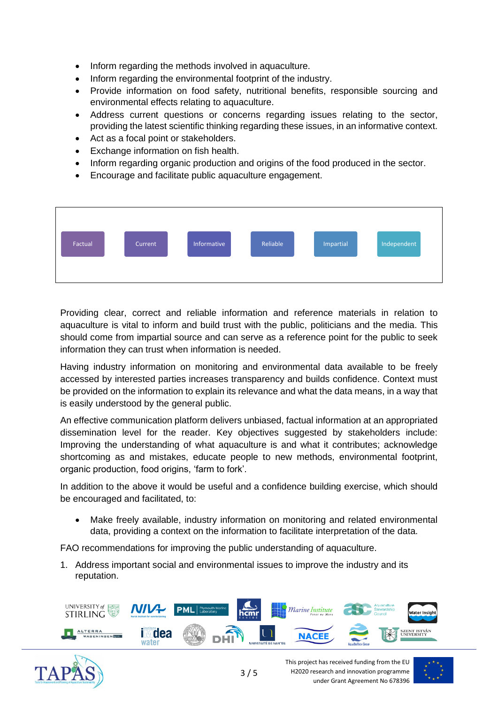- Inform regarding the methods involved in aquaculture.
- Inform regarding the environmental footprint of the industry.
- Provide information on food safety, nutritional benefits, responsible sourcing and environmental effects relating to aquaculture.
- Address current questions or concerns regarding issues relating to the sector, providing the latest scientific thinking regarding these issues, in an informative context.
- Act as a focal point or stakeholders.
- Exchange information on fish health.
- Inform regarding organic production and origins of the food produced in the sector.
- Encourage and facilitate public aquaculture engagement.



Providing clear, correct and reliable information and reference materials in relation to aquaculture is vital to inform and build trust with the public, politicians and the media. This should come from impartial source and can serve as a reference point for the public to seek information they can trust when information is needed.

Having industry information on monitoring and environmental data available to be freely accessed by interested parties increases transparency and builds confidence. Context must be provided on the information to explain its relevance and what the data means, in a way that is easily understood by the general public.

An effective communication platform delivers unbiased, factual information at an appropriated dissemination level for the reader. Key objectives suggested by stakeholders include: Improving the understanding of what aquaculture is and what it contributes; acknowledge shortcoming as and mistakes, educate people to new methods, environmental footprint, organic production, food origins, 'farm to fork'.

In addition to the above it would be useful and a confidence building exercise, which should be encouraged and facilitated, to:

• Make freely available, industry information on monitoring and related environmental data, providing a context on the information to facilitate interpretation of the data.

FAO recommendations for improving the public understanding of aquaculture.

1. Address important social and environmental issues to improve the industry and its reputation.





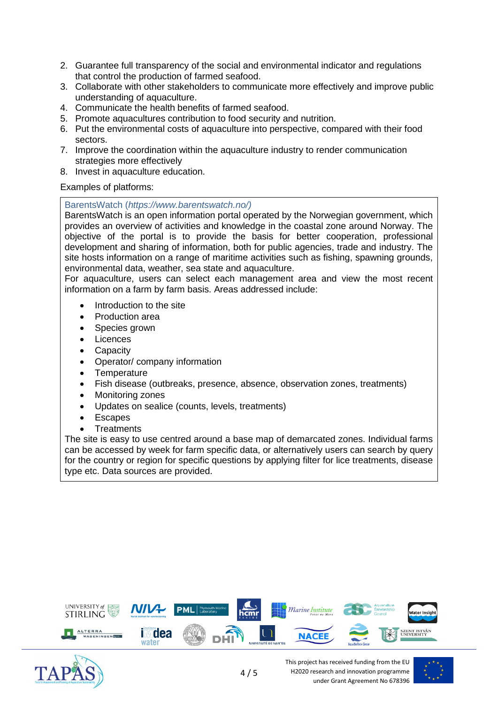- 2. Guarantee full transparency of the social and environmental indicator and regulations that control the production of farmed seafood.
- 3. Collaborate with other stakeholders to communicate more effectively and improve public understanding of aquaculture.
- 4. Communicate the health benefits of farmed seafood.
- 5. Promote aquacultures contribution to food security and nutrition.
- 6. Put the environmental costs of aquaculture into perspective, compared with their food sectors.
- 7. Improve the coordination within the aquaculture industry to render communication strategies more effectively
- 8. Invest in aquaculture education.

Examples of platforms:

### BarentsWatch (*https://www.barentswatch.no/)*

BarentsWatch is an open information portal operated by the Norwegian government, which provides an overview of activities and knowledge in the coastal zone around Norway. The objective of the portal is to provide the basis for better cooperation, professional development and sharing of information, both for public agencies, trade and industry. The site hosts information on a range of maritime activities such as fishing, spawning grounds, environmental data, weather, sea state and aquaculture.

For aquaculture, users can select each management area and view the most recent information on a farm by farm basis. Areas addressed include:

- Introduction to the site
- Production area
- Species grown
- **Licences**
- **Capacity**
- Operator/ company information
- **Temperature**
- Fish disease (outbreaks, presence, absence, observation zones, treatments)
- **Monitoring zones**
- Updates on sealice (counts, levels, treatments)
- **Escapes**
- **Treatments**

The site is easy to use centred around a base map of demarcated zones. Individual farms can be accessed by week for farm specific data, or alternatively users can search by query for the country or region for specific questions by applying filter for lice treatments, disease type etc. Data sources are provided.